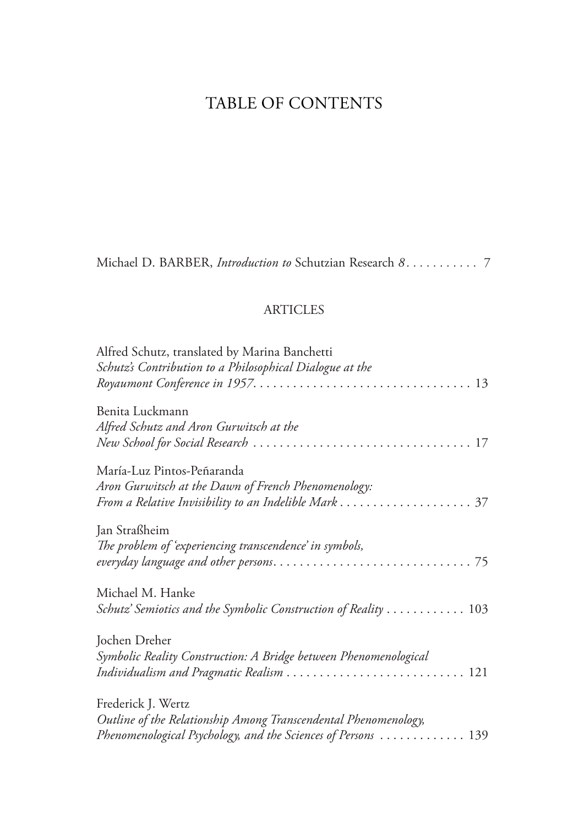## TABLE OF CONTENTS

Michael D. BARBER, *Introduction to* Schutzian Research *8 . . . . . . . . . . .* 7

## **ARTICLES**

| Alfred Schutz, translated by Marina Banchetti<br>Schutz's Contribution to a Philosophical Dialogue at the                                              |
|--------------------------------------------------------------------------------------------------------------------------------------------------------|
| Benita Luckmann<br>Alfred Schutz and Aron Gurwitsch at the                                                                                             |
| María-Luz Pintos-Peñaranda<br>Aron Gurwitsch at the Dawn of French Phenomenology:                                                                      |
| Jan Straßheim<br>The problem of 'experiencing transcendence' in symbols,                                                                               |
| Michael M. Hanke<br>Schutz' Semiotics and the Symbolic Construction of Reality  103                                                                    |
| Jochen Dreher<br>Symbolic Reality Construction: A Bridge between Phenomenological<br>Individualism and Pragmatic Realism  121                          |
| Frederick J. Wertz<br>Outline of the Relationship Among Transcendental Phenomenology,<br>Phenomenological Psychology, and the Sciences of Persons  139 |